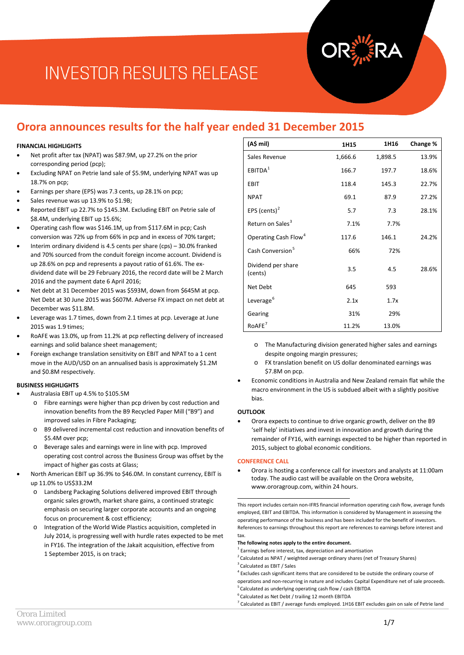## **Orora announces results for the half year ended 31 December 2015**

#### **FINANCIAL HIGHLIGHTS**

- Net profit after tax (NPAT) was \$87.9M, up 27.2% on the prior corresponding period (pcp);
- Excluding NPAT on Petrie land sale of \$5.9M, underlying NPAT was up 18.7% on pcp;
- Earnings per share (EPS) was 7.3 cents, up 28.1% on pcp;
- Sales revenue was up 13.9% to \$1.9B;
- Reported EBIT up 22.7% to \$145.3M. Excluding EBIT on Petrie sale of \$8.4M, underlying EBIT up 15.6%;
- Operating cash flow was \$146.1M, up from \$117.6M in pcp; Cash conversion was 72% up from 66% in pcp and in excess of 70% target;
- Interim ordinary dividend is 4.5 cents per share (cps) 30.0% franked and 70% sourced from the conduit foreign income account. Dividend is up 28.6% on pcp and represents a payout ratio of 61.6%. The exdividend date will be 29 February 2016, the record date will be 2 March 2016 and the payment date 6 April 2016;
- Net debt at 31 December 2015 was \$593M, down from \$645M at pcp. Net Debt at 30 June 2015 was \$607M. Adverse FX impact on net debt at December was \$11.8M.
- Leverage was 1.7 times, down from 2.1 times at pcp. Leverage at June 2015 was 1.9 times;
- RoAFE was 13.0%, up from 11.2% at pcp reflecting delivery of increased earnings and solid balance sheet management;
- Foreign exchange translation sensitivity on EBIT and NPAT to a 1 cent move in the AUD/USD on an annualised basis is approximately \$1.2M and \$0.8M respectively.

#### **BUSINESS HIGHLIGHTS**

- Australasia EBIT up 4.5% to \$105.5M
	- o Fibre earnings were higher than pcp driven by cost reduction and innovation benefits from the B9 Recycled Paper Mill ("B9") and improved sales in Fibre Packaging;
	- o B9 delivered incremental cost reduction and innovation benefits of \$5.4M over pcp;
	- o Beverage sales and earnings were in line with pcp. Improved operating cost control across the Business Group was offset by the impact of higher gas costs at Glass;
- <span id="page-0-6"></span><span id="page-0-5"></span><span id="page-0-4"></span><span id="page-0-3"></span><span id="page-0-2"></span><span id="page-0-1"></span><span id="page-0-0"></span>• North American EBIT up 36.9% to \$46.0M. In constant currency, EBIT is up 11.0% to US\$33.2M
	- o Landsberg Packaging Solutions delivered improved EBIT through organic sales growth, market share gains, a continued strategic emphasis on securing larger corporate accounts and an ongoing focus on procurement & cost efficiency;
	- Integration of the World Wide Plastics acquisition, completed in July 2014, is progressing well with hurdle rates expected to be met in FY16. The integration of the Jakait acquisition, effective from 1 September 2015, is on track;

| (A\$ mil)                        | 1H15    | 1H16    | Change % |
|----------------------------------|---------|---------|----------|
| Sales Revenue                    | 1,666.6 | 1,898.5 | 13.9%    |
| EBITDA <sup>1</sup>              | 166.7   | 197.7   | 18.6%    |
| <b>EBIT</b>                      | 118.4   | 145.3   | 22.7%    |
| <b>NPAT</b>                      | 69.1    | 87.9    | 27.2%    |
| EPS (cents) $2$                  | 5.7     | 7.3     | 28.1%    |
| Return on Sales <sup>3</sup>     | 7.1%    | 7.7%    |          |
| Operating Cash Flow <sup>4</sup> | 117.6   | 146.1   | 24.2%    |
| Cash Conversion <sup>5</sup>     | 66%     | 72%     |          |
| Dividend per share<br>(cents)    | 3.5     | 4.5     | 28.6%    |
| Net Debt                         | 645     | 593     |          |
| Leverage <sup>6</sup>            | 2.1x    | 1.7x    |          |
| Gearing                          | 31%     | 29%     |          |
| RoAFE <sup>7</sup>               | 11.2%   | 13.0%   |          |

- o The Manufacturing division generated higher sales and earnings despite ongoing margin pressures;
- o FX translation benefit on US dollar denominated earnings was \$7.8M on pcp.
- Economic conditions in Australia and New Zealand remain flat while the macro environment in the US is subdued albeit with a slightly positive bias.

#### **OUTLOOK**

• Orora expects to continue to drive organic growth, deliver on the B9 'self help' initiatives and invest in innovation and growth during the remainder of FY16, with earnings expected to be higher than reported in 2015, subject to global economic conditions.

#### **CONFERENCE CALL**

• Orora is hosting a conference call for investors and analysts at 11:00am today. The audio cast will be available on the Orora website, [www.ororagroup.com,](http://www.ororagroup.com/) within 24 hours.

This report includes certain non-IFRS financial information operating cash flow, average funds employed, EBIT and EBITDA. This information is considered by Management in assessing the operating performance of the business and has been included for the benefit of investors. References to earnings throughout this report are references to earnings before interest and tax. 1

#### **The following notes apply to the entire document.**

- $1$  Earnings before interest, tax, depreciation and amortisation
- <sup>2</sup> Calculated as NPAT / weighted average ordinary shares (net of Treasury Shares)
- <sup>3</sup> Calculated as EBIT / Sales
- <sup>4</sup> Excludes cash significant items that are considered to be outside the ordinary course of operations and non-recurring in nature and includes Capital Expenditure net of sale proceeds.
- <sup>5</sup> Calculated as underlying operating cash flow / cash EBITDA
- 6 Calculated as Net Debt / trailing 12 month EBITDA
- $7$  Calculated as EBIT / average funds employed. 1H16 EBIT excludes gain on sale of Petrie land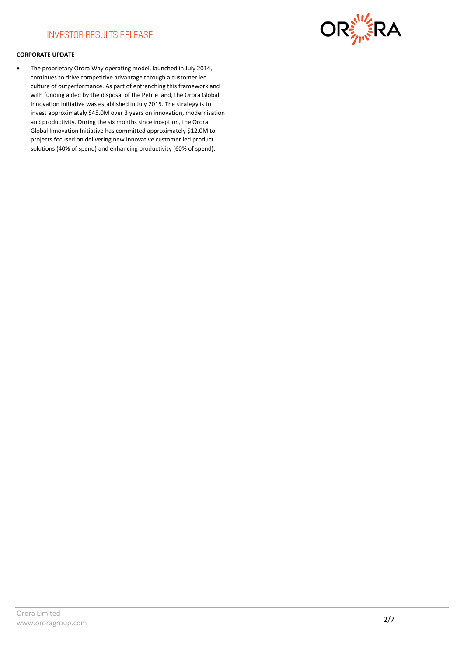

#### **CORPORATE UPDATE**

• The proprietary Orora Way operating model, launched in July 2014, continues to drive competitive advantage through a customer led culture of outperformance. As part of entrenching this framework and with funding aided by the disposal of the Petrie land, the Orora Global Innovation Initiative was established in July 2015. The strategy is to invest approximately \$45.0M over 3 years on innovation, modernisation and productivity. During the six months since inception, the Orora Global Innovation Initiative has committed approximately \$12.0M to projects focused on delivering new innovative customer led product solutions (40% of spend) and enhancing productivity (60% of spend).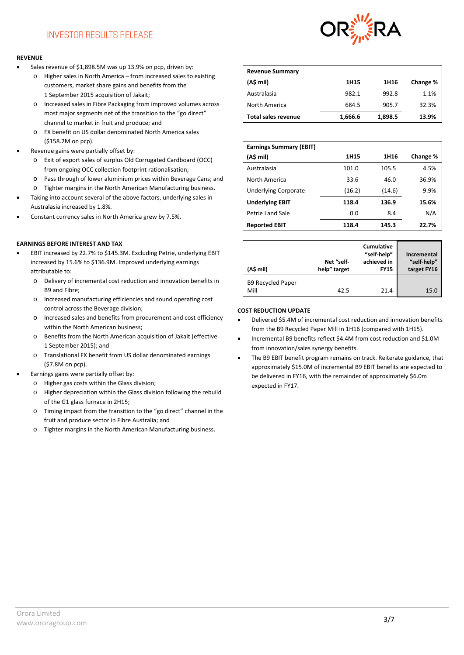#### **REVENUE**

- Sales revenue of \$1,898.5M was up 13.9% on pcp, driven by:
	- o Higher sales in North America from increased sales to existing customers, market share gains and benefits from the 1 September 2015 acquisition of Jakait;
	- o Increased sales in Fibre Packaging from improved volumes across most major segments net of the transition to the "go direct" channel to market in fruit and produce; and
	- o FX benefit on US dollar denominated North America sales (\$158.2M on pcp).
- Revenue gains were partially offset by:
	- o Exit of export sales of surplus Old Corrugated Cardboard (OCC) from ongoing OCC collection footprint rationalisation;
	- o Pass through of lower aluminium prices within Beverage Cans; and
	- o Tighter margins in the North American Manufacturing business.
- Taking into account several of the above factors, underlying sales in Australasia increased by 1.8%.
- Constant currency sales in North America grew by 7.5%.

#### **EARNINGS BEFORE INTEREST AND TAX**

- EBIT increased by 22.7% to \$145.3M. Excluding Petrie, underlying EBIT increased by 15.6% to \$136.9M. Improved underlying earnings attributable to:
	- o Delivery of incremental cost reduction and innovation benefits in B9 and Fibre;
	- o Increased manufacturing efficiencies and sound operating cost control across the Beverage division;
	- o Increased sales and benefits from procurement and cost efficiency within the North American business;
	- o Benefits from the North American acquisition of Jakait (effective 1 September 2015); and
	- o Translational FX benefit from US dollar denominated earnings (\$7.8M on pcp).
- Earnings gains were partially offset by:
	- o Higher gas costs within the Glass division;
	- o Higher depreciation within the Glass division following the rebuild of the G1 glass furnace in 2H15;
	- o Timing impact from the transition to the "go direct" channel in the fruit and produce sector in Fibre Australia; and
	- o Tighter margins in the North American Manufacturing business.



| <b>Revenue Summary</b>     |         |         |          |
|----------------------------|---------|---------|----------|
| (A\$ mil)                  | 1H15    | 1H16    | Change % |
| Australasia                | 982.1   | 992.8   | 1.1%     |
| North America              | 684.5   | 905.7   | 32.3%    |
| <b>Total sales revenue</b> | 1,666.6 | 1,898.5 | 13.9%    |

| <b>Earnings Summary (EBIT)</b> |        |        |          |
|--------------------------------|--------|--------|----------|
| (A\$ mil)                      | 1H15   | 1H16   | Change % |
| Australasia                    | 101.0  | 105.5  | 4.5%     |
| North America                  | 33.6   | 46.0   | 36.9%    |
| <b>Underlying Corporate</b>    | (16.2) | (14.6) | 9.9%     |
| <b>Underlying EBIT</b>         | 118.4  | 136.9  | 15.6%    |
| Petrie Land Sale               | 0.0    | 8.4    | N/A      |
| <b>Reported EBIT</b>           | 118.4  | 145.3  | 22.7%    |

| (A\$ mil)                        | Net "self-<br>help" target | <b>Cumulative</b><br>"self-help"<br>achieved in<br><b>FY15</b> | Incremental<br>"self-help"<br>target FY16 |
|----------------------------------|----------------------------|----------------------------------------------------------------|-------------------------------------------|
| <b>B9 Recycled Paper</b><br>Mill | 42.5                       | 21.4                                                           | 15.0                                      |

#### **COST REDUCTION UPDATE**

- Delivered \$5.4M of incremental cost reduction and innovation benefits from the B9 Recycled Paper Mill in 1H16 (compared with 1H15).
- Incremental B9 benefits reflect \$4.4M from cost reduction and \$1.0M from innovation/sales synergy benefits.
- The B9 EBIT benefit program remains on track. Reiterate guidance, that approximately \$15.0M of incremental B9 EBIT benefits are expected to be delivered in FY16, with the remainder of approximately \$6.0m expected in FY17.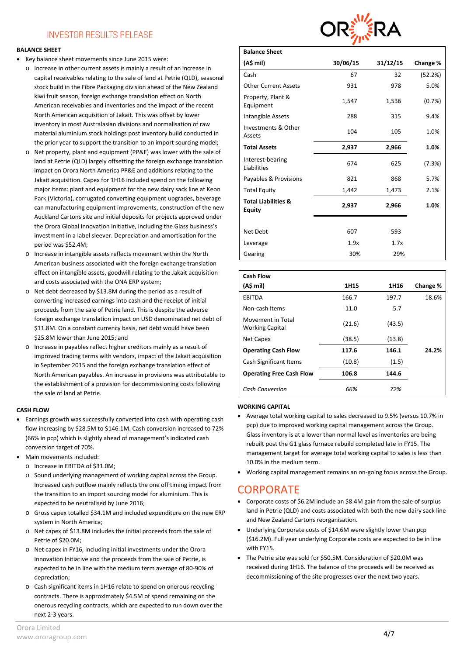#### **BALANCE SHEET**

- Key balance sheet movements since June 2015 were:
	- o Increase in other current assets is mainly a result of an increase in capital receivables relating to the sale of land at Petrie (QLD), seasonal stock build in the Fibre Packaging division ahead of the New Zealand kiwi fruit season, foreign exchange translation effect on North American receivables and inventories and the impact of the recent North American acquisition of Jakait. This was offset by lower inventory in most Australasian divisions and normalisation of raw material aluminium stock holdings post inventory build conducted in the prior year to support the transition to an import sourcing model;
	- o Net property, plant and equipment (PP&E) was lower with the sale of land at Petrie (QLD) largely offsetting the foreign exchange translation impact on Orora North America PP&E and additions relating to the Jakait acquisition. Capex for 1H16 included spend on the following major items: plant and equipment for the new dairy sack line at Keon Park (Victoria), corrugated converting equipment upgrades, beverage can manufacturing equipment improvements, construction of the new Auckland Cartons site and initial deposits for projects approved under the Orora Global Innovation Initiative, including the Glass business's investment in a label sleever. Depreciation and amortisation for the period was \$52.4M;
	- o Increase in intangible assets reflects movement within the North American business associated with the foreign exchange translation effect on intangible assets, goodwill relating to the Jakait acquisition and costs associated with the ONA ERP system;
	- o Net debt decreased by \$13.8M during the period as a result of converting increased earnings into cash and the receipt of initial proceeds from the sale of Petrie land. This is despite the adverse foreign exchange translation impact on USD denominated net debt of \$11.8M. On a constant currency basis, net debt would have been \$25.8M lower than June 2015; and
	- o Increase in payables reflect higher creditors mainly as a result of improved trading terms with vendors, impact of the Jakait acquisition in September 2015 and the foreign exchange translation effect of North American payables. An increase in provisions was attributable to the establishment of a provision for decommissioning costs following the sale of land at Petrie.

#### **CASH FLOW**

- Earnings growth was successfully converted into cash with operating cash flow increasing by \$28.5M to \$146.1M. Cash conversion increased to 72% (66% in pcp) which is slightly ahead of management's indicated cash conversion target of 70%.
- Main movements included:
	- o Increase in EBITDA of \$31.0M;
	- o Sound underlying management of working capital across the Group. Increased cash outflow mainly reflects the one off timing impact from the transition to an import sourcing model for aluminium. This is expected to be neutralised by June 2016;
	- o Gross capex totalled \$34.1M and included expenditure on the new ERP system in North America;
	- o Net capex of \$13.8M includes the initial proceeds from the sale of Petrie of \$20.0M;
	- o Net capex in FY16, including initial investments under the Orora Innovation Initiative and the proceeds from the sale of Petrie, is expected to be in line with the medium term average of 80-90% of depreciation;
	- o Cash significant items in 1H16 relate to spend on onerous recycling contracts. There is approximately \$4.5M of spend remaining on the onerous recycling contracts, which are expected to run down over the next 2-3 years.



| <b>Balance Sheet</b>                            |          |          |          |
|-------------------------------------------------|----------|----------|----------|
| (A\$ mil)                                       | 30/06/15 | 31/12/15 | Change % |
| Cash                                            | 67       | 32       | (52.2%)  |
| <b>Other Current Assets</b>                     | 931      | 978      | 5.0%     |
| Property, Plant &<br>Equipment                  | 1,547    | 1,536    | (0.7%)   |
| Intangible Assets                               | 288      | 315      | 9.4%     |
| Investments & Other<br>Assets                   | 104      | 105      | 1.0%     |
| <b>Total Assets</b>                             | 2,937    | 2,966    | 1.0%     |
| Interest-bearing<br>Liabilities                 | 674      | 625      | (7.3%)   |
| Payables & Provisions                           | 821      | 868      | 5.7%     |
| <b>Total Equity</b>                             | 1,442    | 1,473    | 2.1%     |
| <b>Total Liabilities &amp;</b><br><b>Equity</b> | 2,937    | 2,966    | 1.0%     |
|                                                 |          |          |          |
| Net Debt                                        | 607      | 593      |          |
| Leverage                                        | 1.9x     | 1.7x     |          |
| Gearing                                         | 30%      | 29%      |          |

| <b>Cash Flow</b>                            |        |        |          |
|---------------------------------------------|--------|--------|----------|
| (A\$ mil)                                   | 1H15   | 1H16   | Change % |
| <b>EBITDA</b>                               | 166.7  | 197.7  | 18.6%    |
| Non-cash Items                              | 11.0   | 5.7    |          |
| Movement in Total<br><b>Working Capital</b> | (21.6) | (43.5) |          |
| Net Capex                                   | (38.5) | (13.8) |          |
| <b>Operating Cash Flow</b>                  | 117.6  | 146.1  | 24.2%    |
| Cash Significant Items                      | (10.8) | (1.5)  |          |
| <b>Operating Free Cash Flow</b>             | 106.8  | 144.6  |          |
| Cash Conversion                             | 66%    | 72%    |          |

#### **WORKING CAPITAL**

- Average total working capital to sales decreased to 9.5% (versus 10.7% in pcp) due to improved working capital management across the Group. Glass inventory is at a lower than normal level as inventories are being rebuilt post the G1 glass furnace rebuild completed late in FY15. The management target for average total working capital to sales is less than 10.0% in the medium term.
- Working capital management remains an on-going focus across the Group.

### **CORPORATE**

- Corporate costs of \$6.2M include an \$8.4M gain from the sale of surplus land in Petrie (QLD) and costs associated with both the new dairy sack line and New Zealand Cartons reorganisation.
- Underlying Corporate costs of \$14.6M were slightly lower than pcp (\$16.2M). Full year underlying Corporate costs are expected to be in line with FY15.
- The Petrie site was sold for \$50.5M. Consideration of \$20.0M was received during 1H16. The balance of the proceeds will be received as decommissioning of the site progresses over the next two years.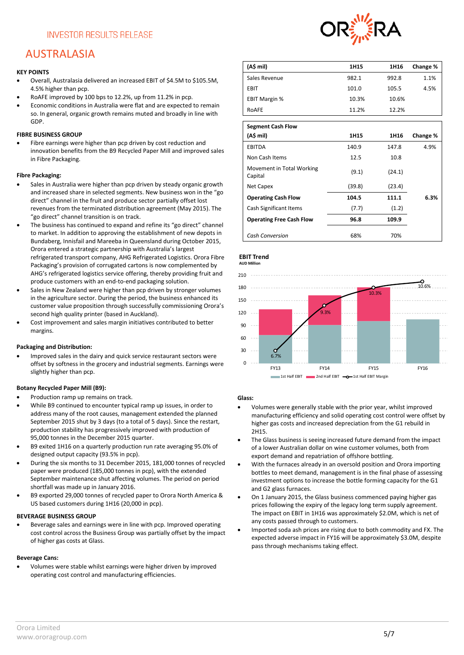# AUSTRALASIA

#### **KEY POINTS**

- Overall, Australasia delivered an increased EBIT of \$4.5M to \$105.5M, 4.5% higher than pcp.
- RoAFE improved by 100 bps to 12.2%, up from 11.2% in pcp.
- Economic conditions in Australia were flat and are expected to remain so. In general, organic growth remains muted and broadly in line with GDP.

#### **FIBRE BUSINESS GROUP**

• Fibre earnings were higher than pcp driven by cost reduction and innovation benefits from the B9 Recycled Paper Mill and improved sales in Fibre Packaging.

#### **Fibre Packaging:**

- Sales in Australia were higher than pcp driven by steady organic growth and increased share in selected segments. New business won in the "go direct" channel in the fruit and produce sector partially offset lost revenues from the terminated distribution agreement (May 2015). The "go direct" channel transition is on track.
- The business has continued to expand and refine its "go direct" channel to market. In addition to approving the establishment of new depots in Bundaberg, Innisfail and Mareeba in Queensland during October 2015, Orora entered a strategic partnership with Australia's largest refrigerated transport company, AHG Refrigerated Logistics. Orora Fibre Packaging's provision of corrugated cartons is now complemented by AHG's refrigerated logistics service offering, thereby providing fruit and produce customers with an end-to-end packaging solution.
- Sales in New Zealand were higher than pcp driven by stronger volumes in the agriculture sector. During the period, the business enhanced its customer value proposition through successfully commissioning Orora's second high quality printer (based in Auckland).
- Cost improvement and sales margin initiatives contributed to better margins.

#### **Packaging and Distribution:**

• Improved sales in the dairy and quick service restaurant sectors were offset by softness in the grocery and industrial segments. Earnings were slightly higher than pcp.

#### **Botany Recycled Paper Mill (B9):**

- Production ramp up remains on track.
- While B9 continued to encounter typical ramp up issues, in order to address many of the root causes, management extended the planned September 2015 shut by 3 days (to a total of 5 days). Since the restart, production stability has progressively improved with production of 95,000 tonnes in the December 2015 quarter.
- B9 exited 1H16 on a quarterly production run rate averaging 95.0% of designed output capacity (93.5% in pcp).
- During the six months to 31 December 2015, 181,000 tonnes of recycled paper were produced (185,000 tonnes in pcp), with the extended September maintenance shut affecting volumes. The period on period shortfall was made up in January 2016.
- B9 exported 29,000 tonnes of recycled paper to Orora North America & US based customers during 1H16 (20,000 in pcp).

#### **BEVERAGE BUSINESS GROUP**

• Beverage sales and earnings were in line with pcp. Improved operating cost control across the Business Group was partially offset by the impact of higher gas costs at Glass.

#### **Beverage Cans:**

• Volumes were stable whilst earnings were higher driven by improved operating cost control and manufacturing efficiencies.



| (A\$ mil)            | 1H15  | 1H16  | Change % |
|----------------------|-------|-------|----------|
| Sales Revenue        | 982.1 | 992.8 | 1.1%     |
| EBIT                 | 101.0 | 105.5 | 4.5%     |
| <b>EBIT Margin %</b> | 10.3% | 10.6% |          |
| RoAFE                | 11.2% | 12.2% |          |
|                      |       |       |          |

| <b>Segment Cash Flow</b>             |        |        |          |
|--------------------------------------|--------|--------|----------|
| (A\$ mil)                            | 1H15   | 1H16   | Change % |
| EBITDA                               | 140.9  | 147.8  | 4.9%     |
| Non Cash Items                       | 12.5   | 10.8   |          |
| Movement in Total Working<br>Capital | (9.1)  | (24.1) |          |
| Net Capex                            | (39.8) | (23.4) |          |
| <b>Operating Cash Flow</b>           | 104.5  | 111.1  | 6.3%     |
| Cash Significant Items               | (7.7)  | (1.2)  |          |
| <b>Operating Free Cash Flow</b>      | 96.8   | 109.9  |          |
| <b>Cash Conversion</b>               | 68%    | 70%    |          |

#### **EBIT Trend AUD Million**



#### **Glass:**

- Volumes were generally stable with the prior year, whilst improved manufacturing efficiency and solid operating cost control were offset by higher gas costs and increased depreciation from the G1 rebuild in 2H15.
- The Glass business is seeing increased future demand from the impact of a lower Australian dollar on wine customer volumes, both from export demand and repatriation of offshore bottling.
- With the furnaces already in an oversold position and Orora importing bottles to meet demand, management is in the final phase of assessing investment options to increase the bottle forming capacity for the G1 and G2 glass furnaces.
- On 1 January 2015, the Glass business commenced paying higher gas prices following the expiry of the legacy long term supply agreement. The impact on EBIT in 1H16 was approximately \$2.0M, which is net of any costs passed through to customers.
- Imported soda ash prices are rising due to both commodity and FX. The expected adverse impact in FY16 will be approximately \$3.0M, despite pass through mechanisms taking effect.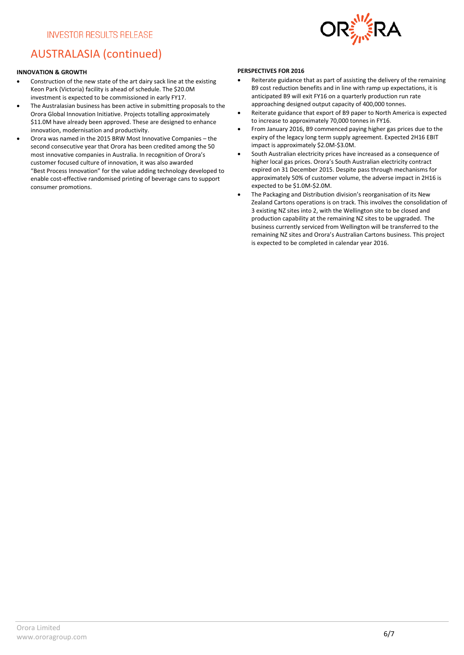

# AUSTRALASIA (continued)

#### **INNOVATION & GROWTH**

- Construction of the new state of the art dairy sack line at the existing Keon Park (Victoria) facility is ahead of schedule. The \$20.0M investment is expected to be commissioned in early FY17.
- The Australasian business has been active in submitting proposals to the Orora Global Innovation Initiative. Projects totalling approximately \$11.0M have already been approved. These are designed to enhance innovation, modernisation and productivity.
- Orora was named in the 2015 BRW Most Innovative Companies the second consecutive year that Orora has been credited among the 50 most innovative companies in Australia. In recognition of Orora's customer focused culture of innovation, it was also awarded "Best Process Innovation" for the value adding technology developed to enable cost-effective randomised printing of beverage cans to support consumer promotions.

#### **PERSPECTIVES FOR 2016**

- Reiterate guidance that as part of assisting the delivery of the remaining B9 cost reduction benefits and in line with ramp up expectations, it is anticipated B9 will exit FY16 on a quarterly production run rate approaching designed output capacity of 400,000 tonnes.
- Reiterate guidance that export of B9 paper to North America is expected to increase to approximately 70,000 tonnes in FY16.
- From January 2016, B9 commenced paying higher gas prices due to the expiry of the legacy long term supply agreement. Expected 2H16 EBIT impact is approximately \$2.0M-\$3.0M.
- South Australian electricity prices have increased as a consequence of higher local gas prices. Orora's South Australian electricity contract expired on 31 December 2015. Despite pass through mechanisms for approximately 50% of customer volume, the adverse impact in 2H16 is expected to be \$1.0M-\$2.0M.
- The Packaging and Distribution division's reorganisation of its New Zealand Cartons operations is on track. This involves the consolidation of 3 existing NZ sites into 2, with the Wellington site to be closed and production capability at the remaining NZ sites to be upgraded. The business currently serviced from Wellington will be transferred to the remaining NZ sites and Orora's Australian Cartons business. This project is expected to be completed in calendar year 2016.